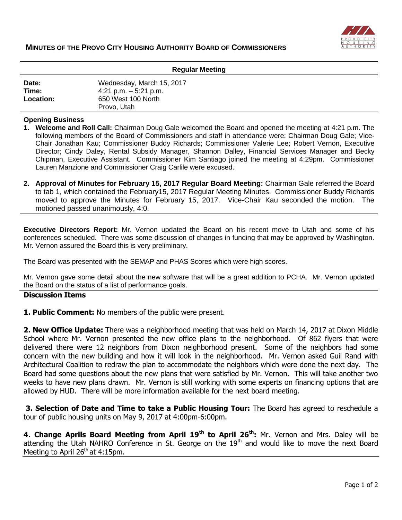

| <b>Regular Meeting</b>      |                                                                                          |
|-----------------------------|------------------------------------------------------------------------------------------|
| Date:<br>Time:<br>Location: | Wednesday, March 15, 2017<br>4:21 p.m. $-5:21$ p.m.<br>650 West 100 North<br>Provo, Utah |

## **Opening Business**

- **1. Welcome and Roll Call:** Chairman Doug Gale welcomed the Board and opened the meeting at 4:21 p.m. The following members of the Board of Commissioners and staff in attendance were: Chairman Doug Gale; Vice-Chair Jonathan Kau; Commissioner Buddy Richards; Commissioner Valerie Lee; Robert Vernon, Executive Director; Cindy Daley, Rental Subsidy Manager, Shannon Dalley, Financial Services Manager and Becky Chipman, Executive Assistant. Commissioner Kim Santiago joined the meeting at 4:29pm. Commissioner Lauren Manzione and Commissioner Craig Carlile were excused.
- **2. Approval of Minutes for February 15, 2017 Regular Board Meeting:** Chairman Gale referred the Board to tab 1, which contained the February15, 2017 Regular Meeting Minutes. Commissioner Buddy Richards moved to approve the Minutes for February 15, 2017. Vice-Chair Kau seconded the motion. The motioned passed unanimously, 4:0.

**Executive Directors Report:** Mr. Vernon updated the Board on his recent move to Utah and some of his conferences scheduled. There was some discussion of changes in funding that may be approved by Washington. Mr. Vernon assured the Board this is very preliminary.

The Board was presented with the SEMAP and PHAS Scores which were high scores.

Mr. Vernon gave some detail about the new software that will be a great addition to PCHA. Mr. Vernon updated the Board on the status of a list of performance goals.

## **Discussion Items**

**1. Public Comment:** No members of the public were present.

**2. New Office Update:** There was a neighborhood meeting that was held on March 14, 2017 at Dixon Middle School where Mr. Vernon presented the new office plans to the neighborhood. Of 862 flyers that were delivered there were 12 neighbors from Dixon neighborhood present. Some of the neighbors had some concern with the new building and how it will look in the neighborhood. Mr. Vernon asked Guil Rand with Architectural Coalition to redraw the plan to accommodate the neighbors which were done the next day. The Board had some questions about the new plans that were satisfied by Mr. Vernon. This will take another two weeks to have new plans drawn. Mr. Vernon is still working with some experts on financing options that are allowed by HUD. There will be more information available for the next board meeting.

**3. Selection of Date and Time to take a Public Housing Tour:** The Board has agreed to reschedule a tour of public housing units on May 9, 2017 at 4:00pm-6:00pm.

**4. Change Aprils Board Meeting from April 19th to April 26th:** Mr. Vernon and Mrs. Daley will be attending the Utah NAHRO Conference in St. George on the 19<sup>th</sup> and would like to move the next Board Meeting to April  $26<sup>th</sup>$  at 4:15pm.